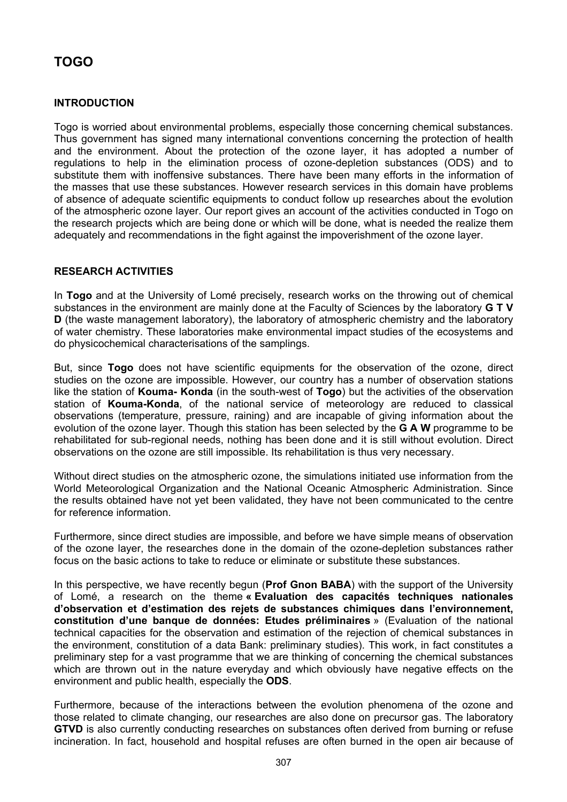# **TOGO**

## **INTRODUCTION**

Togo is worried about environmental problems, especially those concerning chemical substances. Thus government has signed many international conventions concerning the protection of health and the environment. About the protection of the ozone layer, it has adopted a number of regulations to help in the elimination process of ozone-depletion substances (ODS) and to substitute them with inoffensive substances. There have been many efforts in the information of the masses that use these substances. However research services in this domain have problems of absence of adequate scientific equipments to conduct follow up researches about the evolution of the atmospheric ozone layer. Our report gives an account of the activities conducted in Togo on the research projects which are being done or which will be done, what is needed the realize them adequately and recommendations in the fight against the impoverishment of the ozone layer.

## **RESEARCH ACTIVITIES**

In **Togo** and at the University of Lomé precisely, research works on the throwing out of chemical substances in the environment are mainly done at the Faculty of Sciences by the laboratory **G T V D** (the waste management laboratory), the laboratory of atmospheric chemistry and the laboratory of water chemistry. These laboratories make environmental impact studies of the ecosystems and do physicochemical characterisations of the samplings.

But, since **Togo** does not have scientific equipments for the observation of the ozone, direct studies on the ozone are impossible. However, our country has a number of observation stations like the station of **Kouma- Konda** (in the south-west of **Togo**) but the activities of the observation station of **Kouma-Konda**, of the national service of meteorology are reduced to classical observations (temperature, pressure, raining) and are incapable of giving information about the evolution of the ozone layer. Though this station has been selected by the **G A W** programme to be rehabilitated for sub-regional needs, nothing has been done and it is still without evolution. Direct observations on the ozone are still impossible. Its rehabilitation is thus very necessary.

Without direct studies on the atmospheric ozone, the simulations initiated use information from the World Meteorological Organization and the National Oceanic Atmospheric Administration. Since the results obtained have not yet been validated, they have not been communicated to the centre for reference information.

Furthermore, since direct studies are impossible, and before we have simple means of observation of the ozone layer, the researches done in the domain of the ozone-depletion substances rather focus on the basic actions to take to reduce or eliminate or substitute these substances.

In this perspective, we have recently begun (**Prof Gnon BABA**) with the support of the University of Lomé, a research on the theme **« Evaluation des capacités techniques nationales d'observation et d'estimation des rejets de substances chimiques dans l'environnement, constitution d'une banque de données: Etudes préliminaires** » (Evaluation of the national technical capacities for the observation and estimation of the rejection of chemical substances in the environment, constitution of a data Bank: preliminary studies). This work, in fact constitutes a preliminary step for a vast programme that we are thinking of concerning the chemical substances which are thrown out in the nature everyday and which obviously have negative effects on the environment and public health, especially the **ODS**.

Furthermore, because of the interactions between the evolution phenomena of the ozone and those related to climate changing, our researches are also done on precursor gas. The laboratory **GTVD** is also currently conducting researches on substances often derived from burning or refuse incineration. In fact, household and hospital refuses are often burned in the open air because of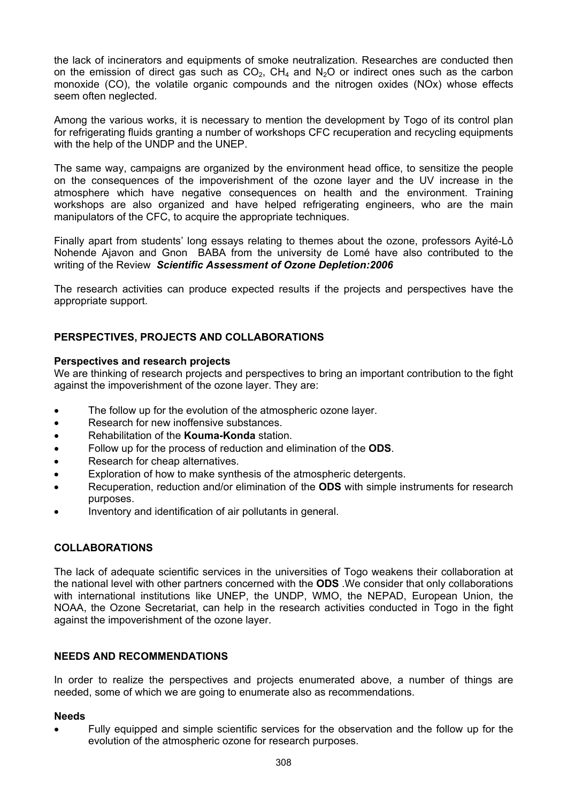the lack of incinerators and equipments of smoke neutralization. Researches are conducted then on the emission of direct gas such as  $CO<sub>2</sub>$ ,  $CH<sub>4</sub>$  and  $N<sub>2</sub>O$  or indirect ones such as the carbon monoxide (CO), the volatile organic compounds and the nitrogen oxides (NOx) whose effects seem often neglected.

Among the various works, it is necessary to mention the development by Togo of its control plan for refrigerating fluids granting a number of workshops CFC recuperation and recycling equipments with the help of the UNDP and the UNEP.

The same way, campaigns are organized by the environment head office, to sensitize the people on the consequences of the impoverishment of the ozone layer and the UV increase in the atmosphere which have negative consequences on health and the environment. Training workshops are also organized and have helped refrigerating engineers, who are the main manipulators of the CFC, to acquire the appropriate techniques.

Finally apart from students' long essays relating to themes about the ozone, professors Ayité-Lô Nohende Ajavon and Gnon BABA from the university de Lomé have also contributed to the writing of the Review *Scientific Assessment of Ozone Depletion:2006*

The research activities can produce expected results if the projects and perspectives have the appropriate support.

## **PERSPECTIVES, PROJECTS AND COLLABORATIONS**

#### **Perspectives and research projects**

We are thinking of research projects and perspectives to bring an important contribution to the fight against the impoverishment of the ozone layer. They are:

- The follow up for the evolution of the atmospheric ozone layer.
- Research for new inoffensive substances.
- Rehabilitation of the **Kouma-Konda** station.
- Follow up for the process of reduction and elimination of the **ODS**.
- Research for cheap alternatives.
- Exploration of how to make synthesis of the atmospheric detergents.
- Recuperation, reduction and/or elimination of the **ODS** with simple instruments for research purposes.
- Inventory and identification of air pollutants in general.

## **COLLABORATIONS**

The lack of adequate scientific services in the universities of Togo weakens their collaboration at the national level with other partners concerned with the **ODS** .We consider that only collaborations with international institutions like UNEP, the UNDP, WMO, the NEPAD, European Union, the NOAA, the Ozone Secretariat, can help in the research activities conducted in Togo in the fight against the impoverishment of the ozone layer.

## **NEEDS AND RECOMMENDATIONS**

In order to realize the perspectives and projects enumerated above, a number of things are needed, some of which we are going to enumerate also as recommendations.

#### **Needs**

• Fully equipped and simple scientific services for the observation and the follow up for the evolution of the atmospheric ozone for research purposes.